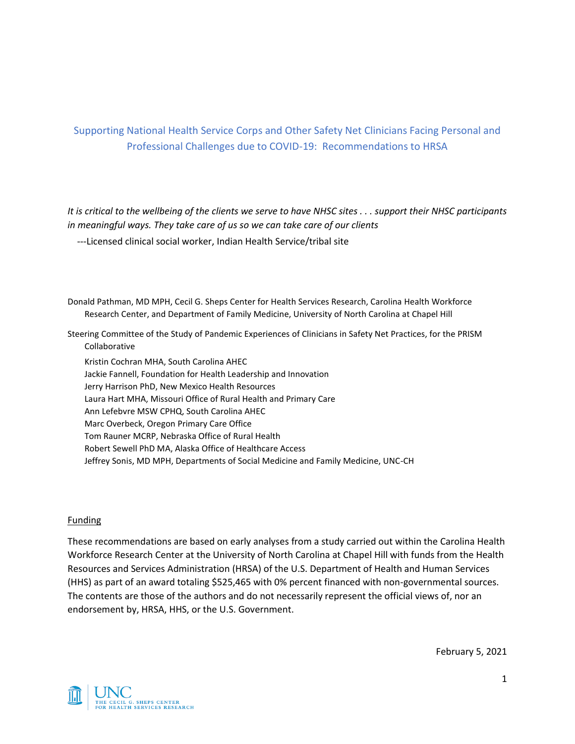# Supporting National Health Service Corps and Other Safety Net Clinicians Facing Personal and Professional Challenges due to COVID-19: Recommendations to HRSA

*It is critical to the wellbeing of the clients we serve to have NHSC sites . . . support their NHSC participants in meaningful ways. They take care of us so we can take care of our clients*

---Licensed clinical social worker, Indian Health Service/tribal site

Donald Pathman, MD MPH, Cecil G. Sheps Center for Health Services Research, Carolina Health Workforce Research Center, and Department of Family Medicine, University of North Carolina at Chapel Hill

Steering Committee of the Study of Pandemic Experiences of Clinicians in Safety Net Practices, for the PRISM Collaborative

Kristin Cochran MHA, South Carolina AHEC Jackie Fannell, Foundation for Health Leadership and Innovation Jerry Harrison PhD, New Mexico Health Resources Laura Hart MHA, Missouri Office of Rural Health and Primary Care Ann Lefebvre MSW CPHQ, South Carolina AHEC Marc Overbeck, Oregon Primary Care Office Tom Rauner MCRP, Nebraska Office of Rural Health Robert Sewell PhD MA, Alaska Office of Healthcare Access Jeffrey Sonis, MD MPH, Departments of Social Medicine and Family Medicine, UNC-CH

#### **Funding**

These recommendations are based on early analyses from a study carried out within the Carolina Health Workforce Research Center at the University of North Carolina at Chapel Hill with funds from the Health Resources and Services Administration (HRSA) of the U.S. Department of Health and Human Services (HHS) as part of an award totaling \$525,465 with 0% percent financed with non-governmental sources. The contents are those of the authors and do not necessarily represent the official views of, nor an endorsement by, HRSA, HHS, or the U.S. Government.

February 5, 2021

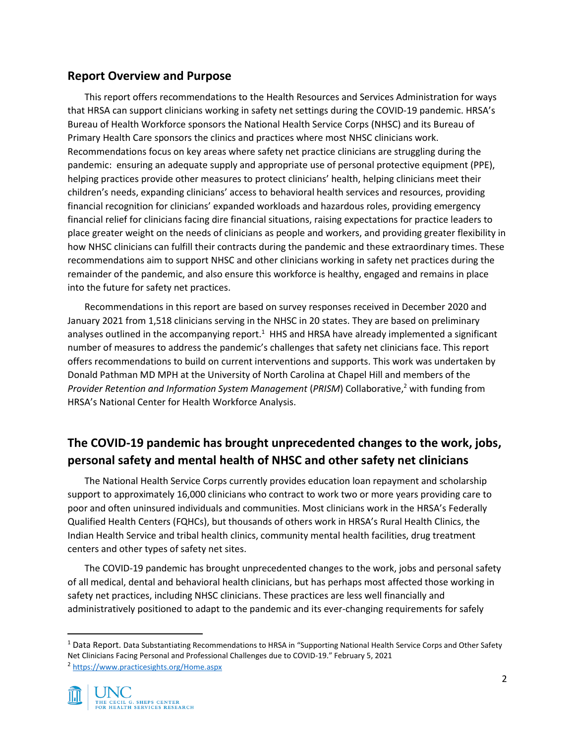# **Report Overview and Purpose**

This report offers recommendations to the Health Resources and Services Administration for ways that HRSA can support clinicians working in safety net settings during the COVID-19 pandemic. HRSA's Bureau of Health Workforce sponsors the National Health Service Corps (NHSC) and its Bureau of Primary Health Care sponsors the clinics and practices where most NHSC clinicians work. Recommendations focus on key areas where safety net practice clinicians are struggling during the pandemic: ensuring an adequate supply and appropriate use of personal protective equipment (PPE), helping practices provide other measures to protect clinicians' health, helping clinicians meet their children's needs, expanding clinicians' access to behavioral health services and resources, providing financial recognition for clinicians' expanded workloads and hazardous roles, providing emergency financial relief for clinicians facing dire financial situations, raising expectations for practice leaders to place greater weight on the needs of clinicians as people and workers, and providing greater flexibility in how NHSC clinicians can fulfill their contracts during the pandemic and these extraordinary times. These recommendations aim to support NHSC and other clinicians working in safety net practices during the remainder of the pandemic, and also ensure this workforce is healthy, engaged and remains in place into the future for safety net practices.

Recommendations in this report are based on survey responses received in December 2020 and January 2021 from 1,518 clinicians serving in the NHSC in 20 states. They are based on preliminary analyses outlined in the accompanying report.<sup>1</sup> HHS and HRSA have already implemented a significant number of measures to address the pandemic's challenges that safety net clinicians face. This report offers recommendations to build on current interventions and supports. This work was undertaken by Donald Pathman MD MPH at the University of North Carolina at Chapel Hill and members of the *Provider Retention and Information System Management* (*PRISM*) Collaborative, <sup>2</sup> with funding from HRSA's National Center for Health Workforce Analysis.

# **The COVID-19 pandemic has brought unprecedented changes to the work, jobs, personal safety and mental health of NHSC and other safety net clinicians**

The National Health Service Corps currently provides education loan repayment and scholarship support to approximately 16,000 clinicians who contract to work two or more years providing care to poor and often uninsured individuals and communities. Most clinicians work in the HRSA's Federally Qualified Health Centers (FQHCs), but thousands of others work in HRSA's Rural Health Clinics, the Indian Health Service and tribal health clinics, community mental health facilities, drug treatment centers and other types of safety net sites.

The COVID-19 pandemic has brought unprecedented changes to the work, jobs and personal safety of all medical, dental and behavioral health clinicians, but has perhaps most affected those working in safety net practices, including NHSC clinicians. These practices are less well financially and administratively positioned to adapt to the pandemic and its ever-changing requirements for safely

<sup>&</sup>lt;sup>1</sup> Data Report. Data Substantiating Recommendations to HRSA in "Supporting National Health Service Corps and Other Safety Net Clinicians Facing Personal and Professional Challenges due to COVID-19." February 5, 2021 <sup>2</sup> <https://www.practicesights.org/Home.aspx>

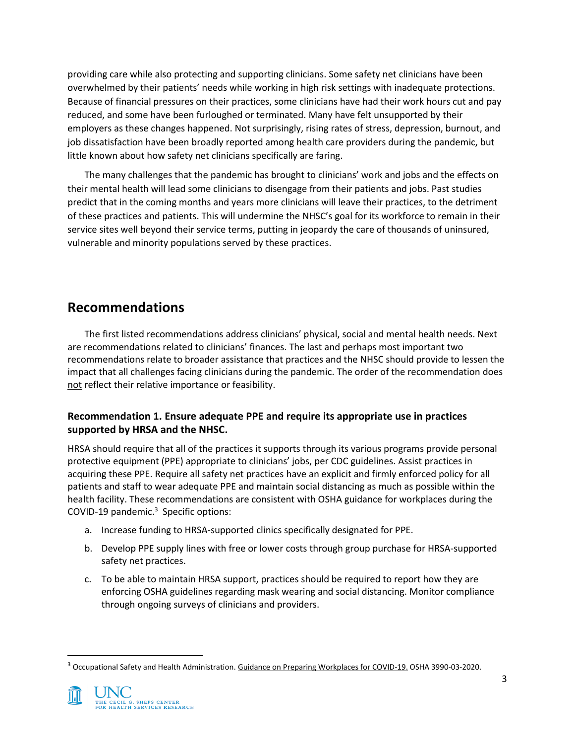providing care while also protecting and supporting clinicians. Some safety net clinicians have been overwhelmed by their patients' needs while working in high risk settings with inadequate protections. Because of financial pressures on their practices, some clinicians have had their work hours cut and pay reduced, and some have been furloughed or terminated. Many have felt unsupported by their employers as these changes happened. Not surprisingly, rising rates of stress, depression, burnout, and job dissatisfaction have been broadly reported among health care providers during the pandemic, but little known about how safety net clinicians specifically are faring.

The many challenges that the pandemic has brought to clinicians' work and jobs and the effects on their mental health will lead some clinicians to disengage from their patients and jobs. Past studies predict that in the coming months and years more clinicians will leave their practices, to the detriment of these practices and patients. This will undermine the NHSC's goal for its workforce to remain in their service sites well beyond their service terms, putting in jeopardy the care of thousands of uninsured, vulnerable and minority populations served by these practices.

# **Recommendations**

The first listed recommendations address clinicians' physical, social and mental health needs. Next are recommendations related to clinicians' finances. The last and perhaps most important two recommendations relate to broader assistance that practices and the NHSC should provide to lessen the impact that all challenges facing clinicians during the pandemic. The order of the recommendation does not reflect their relative importance or feasibility.

#### **Recommendation 1. Ensure adequate PPE and require its appropriate use in practices supported by HRSA and the NHSC.**

HRSA should require that all of the practices it supports through its various programs provide personal protective equipment (PPE) appropriate to clinicians' jobs, per CDC guidelines. Assist practices in acquiring these PPE. Require all safety net practices have an explicit and firmly enforced policy for all patients and staff to wear adequate PPE and maintain social distancing as much as possible within the health facility. These recommendations are consistent with OSHA guidance for workplaces during the COVID-19 pandemic.<sup>3</sup> Specific options:

- a. Increase funding to HRSA-supported clinics specifically designated for PPE.
- b. Develop PPE supply lines with free or lower costs through group purchase for HRSA-supported safety net practices.
- c. To be able to maintain HRSA support, practices should be required to report how they are enforcing OSHA guidelines regarding mask wearing and social distancing. Monitor compliance through ongoing surveys of clinicians and providers.

<sup>&</sup>lt;sup>3</sup> Occupational Safety and Health Administration. Guidance on Preparing Workplaces for COVID-19. OSHA 3990-03-2020.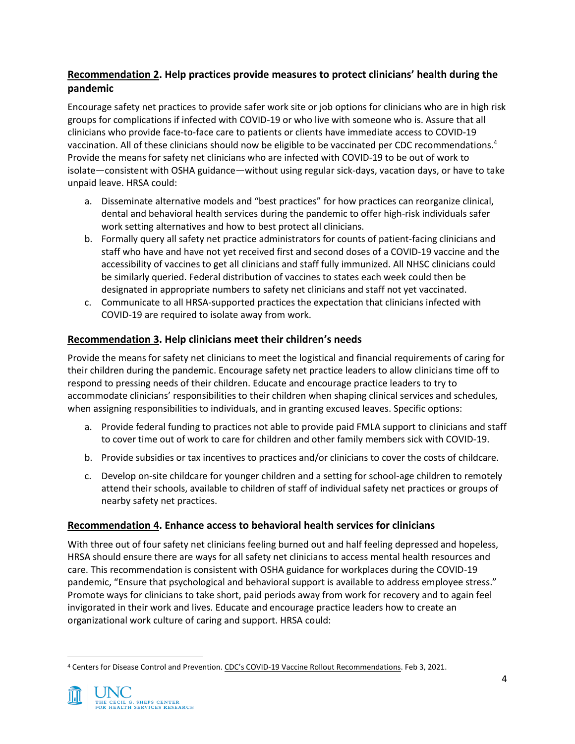# **Recommendation 2. Help practices provide measures to protect clinicians' health during the pandemic**

Encourage safety net practices to provide safer work site or job options for clinicians who are in high risk groups for complications if infected with COVID-19 or who live with someone who is. Assure that all clinicians who provide face-to-face care to patients or clients have immediate access to COVID-19 vaccination. All of these clinicians should now be eligible to be vaccinated per CDC recommendations. 4 Provide the means for safety net clinicians who are infected with COVID-19 to be out of work to isolate—consistent with OSHA guidance—without using regular sick-days, vacation days, or have to take unpaid leave. HRSA could:

- a. Disseminate alternative models and "best practices" for how practices can reorganize clinical, dental and behavioral health services during the pandemic to offer high-risk individuals safer work setting alternatives and how to best protect all clinicians.
- b. Formally query all safety net practice administrators for counts of patient-facing clinicians and staff who have and have not yet received first and second doses of a COVID-19 vaccine and the accessibility of vaccines to get all clinicians and staff fully immunized. All NHSC clinicians could be similarly queried. Federal distribution of vaccines to states each week could then be designated in appropriate numbers to safety net clinicians and staff not yet vaccinated.
- c. Communicate to all HRSA-supported practices the expectation that clinicians infected with COVID-19 are required to isolate away from work.

### **Recommendation 3. Help clinicians meet their children's needs**

Provide the means for safety net clinicians to meet the logistical and financial requirements of caring for their children during the pandemic. Encourage safety net practice leaders to allow clinicians time off to respond to pressing needs of their children. Educate and encourage practice leaders to try to accommodate clinicians' responsibilities to their children when shaping clinical services and schedules, when assigning responsibilities to individuals, and in granting excused leaves. Specific options:

- a. Provide federal funding to practices not able to provide paid FMLA support to clinicians and staff to cover time out of work to care for children and other family members sick with COVID-19.
- b. Provide subsidies or tax incentives to practices and/or clinicians to cover the costs of childcare.
- c. Develop on-site childcare for younger children and a setting for school-age children to remotely attend their schools, available to children of staff of individual safety net practices or groups of nearby safety net practices.

### **Recommendation 4. Enhance access to behavioral health services for clinicians**

With three out of four safety net clinicians feeling burned out and half feeling depressed and hopeless, HRSA should ensure there are ways for all safety net clinicians to access mental health resources and care. This recommendation is consistent with OSHA guidance for workplaces during the COVID-19 pandemic, "Ensure that psychological and behavioral support is available to address employee stress." Promote ways for clinicians to take short, paid periods away from work for recovery and to again feel invigorated in their work and lives. Educate and encourage practice leaders how to create an organizational work culture of caring and support. HRSA could:

<sup>4</sup> Centers for Disease Control and Prevention. CDC's COVID-19 Vaccine Rollout Recommendations. Feb 3, 2021.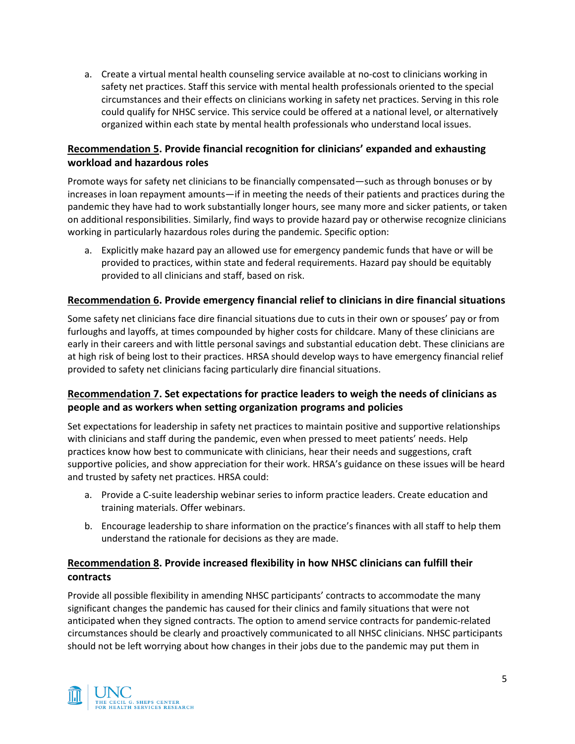a. Create a virtual mental health counseling service available at no-cost to clinicians working in safety net practices. Staff this service with mental health professionals oriented to the special circumstances and their effects on clinicians working in safety net practices. Serving in this role could qualify for NHSC service. This service could be offered at a national level, or alternatively organized within each state by mental health professionals who understand local issues.

### **Recommendation 5. Provide financial recognition for clinicians' expanded and exhausting workload and hazardous roles**

Promote ways for safety net clinicians to be financially compensated—such as through bonuses or by increases in loan repayment amounts—if in meeting the needs of their patients and practices during the pandemic they have had to work substantially longer hours, see many more and sicker patients, or taken on additional responsibilities. Similarly, find ways to provide hazard pay or otherwise recognize clinicians working in particularly hazardous roles during the pandemic. Specific option:

a. Explicitly make hazard pay an allowed use for emergency pandemic funds that have or will be provided to practices, within state and federal requirements. Hazard pay should be equitably provided to all clinicians and staff, based on risk.

### **Recommendation 6. Provide emergency financial relief to clinicians in dire financial situations**

Some safety net clinicians face dire financial situations due to cuts in their own or spouses' pay or from furloughs and layoffs, at times compounded by higher costs for childcare. Many of these clinicians are early in their careers and with little personal savings and substantial education debt. These clinicians are at high risk of being lost to their practices. HRSA should develop ways to have emergency financial relief provided to safety net clinicians facing particularly dire financial situations.

### **Recommendation 7. Set expectations for practice leaders to weigh the needs of clinicians as people and as workers when setting organization programs and policies**

Set expectations for leadership in safety net practices to maintain positive and supportive relationships with clinicians and staff during the pandemic, even when pressed to meet patients' needs. Help practices know how best to communicate with clinicians, hear their needs and suggestions, craft supportive policies, and show appreciation for their work. HRSA's guidance on these issues will be heard and trusted by safety net practices. HRSA could:

- a. Provide a C-suite leadership webinar series to inform practice leaders. Create education and training materials. Offer webinars.
- b. Encourage leadership to share information on the practice's finances with all staff to help them understand the rationale for decisions as they are made.

# **Recommendation 8. Provide increased flexibility in how NHSC clinicians can fulfill their contracts**

Provide all possible flexibility in amending NHSC participants' contracts to accommodate the many significant changes the pandemic has caused for their clinics and family situations that were not anticipated when they signed contracts. The option to amend service contracts for pandemic-related circumstances should be clearly and proactively communicated to all NHSC clinicians. NHSC participants should not be left worrying about how changes in their jobs due to the pandemic may put them in